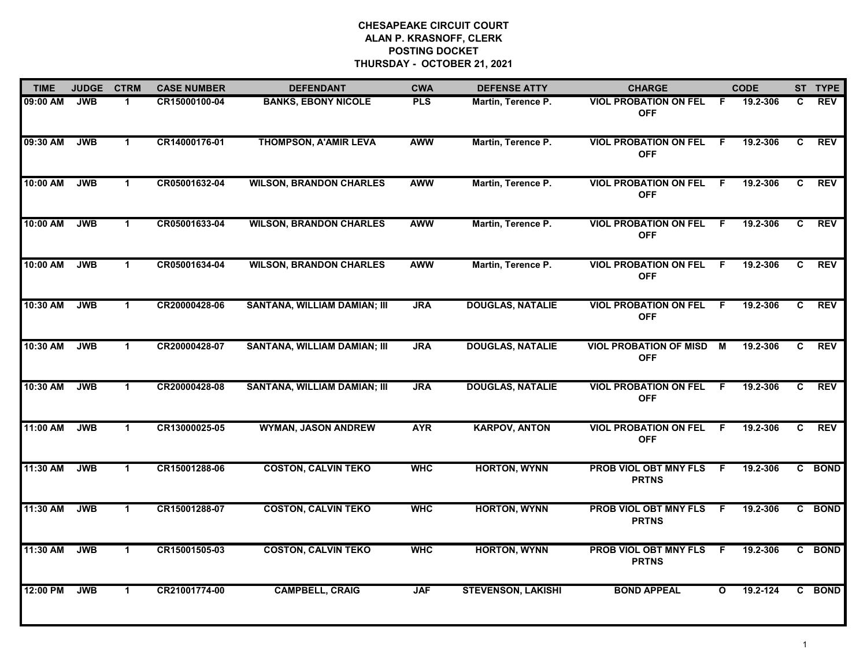| <b>TIME</b> | <b>JUDGE</b> | <b>CTRM</b>  | <b>CASE NUMBER</b> | <b>DEFENDANT</b>                    | <b>CWA</b> | <b>DEFENSE ATTY</b>       | <b>CHARGE</b>                                |              | <b>CODE</b> |    | ST TYPE     |
|-------------|--------------|--------------|--------------------|-------------------------------------|------------|---------------------------|----------------------------------------------|--------------|-------------|----|-------------|
| 09:00 AM    | <b>JWB</b>   | 1            | CR15000100-04      | <b>BANKS, EBONY NICOLE</b>          | <b>PLS</b> | Martin, Terence P.        | <b>VIOL PROBATION ON FEL</b><br><b>OFF</b>   | F.           | 19.2-306    | C. | <b>REV</b>  |
| 09:30 AM    | <b>JWB</b>   | $\mathbf 1$  | CR14000176-01      | <b>THOMPSON, A'AMIR LEVA</b>        | <b>AWW</b> | Martin, Terence P.        | <b>VIOL PROBATION ON FEL</b><br><b>OFF</b>   | - F          | 19.2-306    | C  | <b>REV</b>  |
| 10:00 AM    | <b>JWB</b>   | $\mathbf{1}$ | CR05001632-04      | <b>WILSON, BRANDON CHARLES</b>      | <b>AWW</b> | Martin, Terence P.        | <b>VIOL PROBATION ON FEL</b><br><b>OFF</b>   | -F.          | 19.2-306    | C. | <b>REV</b>  |
| 10:00 AM    | <b>JWB</b>   | 1            | CR05001633-04      | <b>WILSON, BRANDON CHARLES</b>      | <b>AWW</b> | Martin, Terence P.        | <b>VIOL PROBATION ON FEL</b><br><b>OFF</b>   | -F           | 19.2-306    | C  | <b>REV</b>  |
| 10:00 AM    | <b>JWB</b>   | $\mathbf{1}$ | CR05001634-04      | <b>WILSON, BRANDON CHARLES</b>      | <b>AWW</b> | Martin, Terence P.        | <b>VIOL PROBATION ON FEL</b><br><b>OFF</b>   | -F           | 19.2-306    | C  | <b>REV</b>  |
| 10:30 AM    | <b>JWB</b>   | $\mathbf{1}$ | CR20000428-06      | SANTANA, WILLIAM DAMIAN; III        | <b>JRA</b> | <b>DOUGLAS, NATALIE</b>   | <b>VIOL PROBATION ON FEL</b><br><b>OFF</b>   | -F.          | 19.2-306    | C. | <b>REV</b>  |
| 10:30 AM    | <b>JWB</b>   | $\mathbf{1}$ | CR20000428-07      | <b>SANTANA, WILLIAM DAMIAN; III</b> | <b>JRA</b> | <b>DOUGLAS, NATALIE</b>   | <b>VIOL PROBATION OF MISD</b><br><b>OFF</b>  | <b>M</b>     | 19.2-306    | C  | <b>REV</b>  |
| 10:30 AM    | <b>JWB</b>   | $\mathbf{1}$ | CR20000428-08      | <b>SANTANA, WILLIAM DAMIAN; III</b> | <b>JRA</b> | <b>DOUGLAS, NATALIE</b>   | <b>VIOL PROBATION ON FEL</b><br><b>OFF</b>   | F.           | 19.2-306    | C  | <b>REV</b>  |
| 11:00 AM    | <b>JWB</b>   | $\mathbf 1$  | CR13000025-05      | <b>WYMAN, JASON ANDREW</b>          | <b>AYR</b> | <b>KARPOV, ANTON</b>      | <b>VIOL PROBATION ON FEL</b><br><b>OFF</b>   | -F           | 19.2-306    | C  | <b>REV</b>  |
| 11:30 AM    | <b>JWB</b>   | $\mathbf 1$  | CR15001288-06      | <b>COSTON, CALVIN TEKO</b>          | <b>WHC</b> | <b>HORTON, WYNN</b>       | PROB VIOL OBT MNY FLS<br><b>PRTNS</b>        | -F.          | 19.2-306    |    | C BOND      |
| 11:30 AM    | <b>JWB</b>   | $\mathbf 1$  | CR15001288-07      | <b>COSTON, CALVIN TEKO</b>          | <b>WHC</b> | <b>HORTON, WYNN</b>       | <b>PROB VIOL OBT MNY FLS</b><br><b>PRTNS</b> | F.           | 19.2-306    | C  | <b>BOND</b> |
| 11:30 AM    | <b>JWB</b>   | $\mathbf{1}$ | CR15001505-03      | <b>COSTON, CALVIN TEKO</b>          | <b>WHC</b> | <b>HORTON, WYNN</b>       | <b>PROB VIOL OBT MNY FLS</b><br><b>PRTNS</b> | F.           | 19.2-306    |    | C BOND      |
| 12:00 PM    | <b>JWB</b>   | $\mathbf 1$  | CR21001774-00      | <b>CAMPBELL, CRAIG</b>              | <b>JAF</b> | <b>STEVENSON, LAKISHI</b> | <b>BOND APPEAL</b>                           | $\mathbf{o}$ | 19.2-124    |    | C BOND      |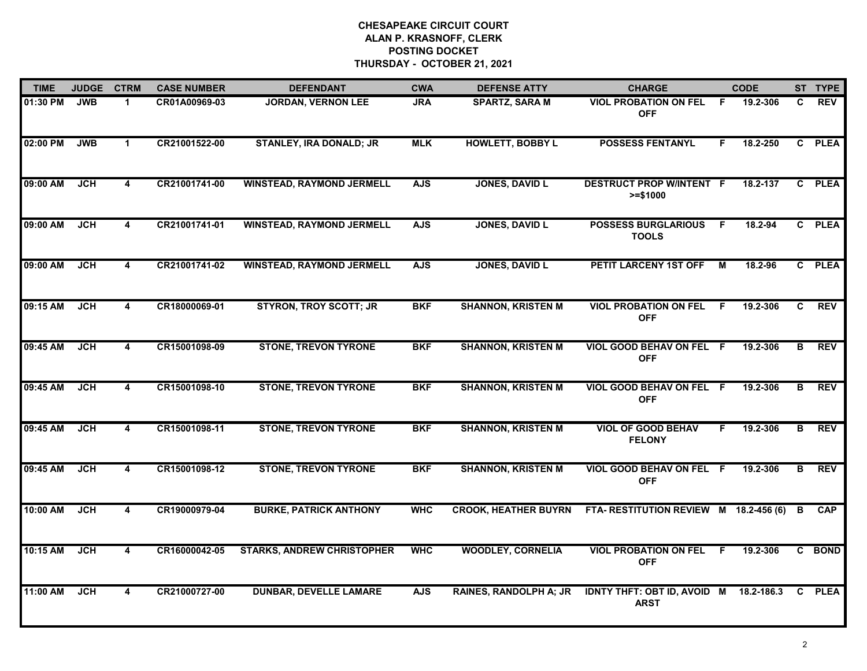| <b>TIME</b> | <b>JUDGE</b> | <b>CTRM</b>             | <b>CASE NUMBER</b> | <b>DEFENDANT</b>                  | <b>CWA</b> | <b>DEFENSE ATTY</b>         | <b>CHARGE</b>                                     |     | <b>CODE</b> |              | ST TYPE     |
|-------------|--------------|-------------------------|--------------------|-----------------------------------|------------|-----------------------------|---------------------------------------------------|-----|-------------|--------------|-------------|
| 01:30 PM    | <b>JWB</b>   | $\mathbf 1$             | CR01A00969-03      | <b>JORDAN, VERNON LEE</b>         | <b>JRA</b> | <b>SPARTZ, SARA M</b>       | <b>VIOL PROBATION ON FEL</b><br><b>OFF</b>        | -F  | 19.2-306    | C.           | <b>REV</b>  |
| 02:00 PM    | <b>JWB</b>   | $\mathbf 1$             | CR21001522-00      | <b>STANLEY, IRA DONALD; JR</b>    | <b>MLK</b> | <b>HOWLETT, BOBBY L</b>     | <b>POSSESS FENTANYL</b>                           | F.  | 18.2-250    | C.           | <b>PLEA</b> |
| 09:00 AM    | <b>JCH</b>   | 4                       | CR21001741-00      | <b>WINSTEAD, RAYMOND JERMELL</b>  | <b>AJS</b> | <b>JONES, DAVID L</b>       | <b>DESTRUCT PROP W/INTENT F</b><br>$>= $1000$     |     | 18.2-137    | $\mathbf{c}$ | <b>PLEA</b> |
| 09:00 AM    | <b>JCH</b>   | 4                       | CR21001741-01      | <b>WINSTEAD, RAYMOND JERMELL</b>  | <b>AJS</b> | <b>JONES, DAVID L</b>       | <b>POSSESS BURGLARIOUS</b><br><b>TOOLS</b>        | - F | 18.2-94     |              | C PLEA      |
| 09:00 AM    | <b>JCH</b>   | 4                       | CR21001741-02      | <b>WINSTEAD, RAYMOND JERMELL</b>  | <b>AJS</b> | <b>JONES, DAVID L</b>       | PETIT LARCENY 1ST OFF                             | M   | 18.2-96     |              | C PLEA      |
| 09:15 AM    | <b>JCH</b>   | 4                       | CR18000069-01      | <b>STYRON, TROY SCOTT; JR</b>     | <b>BKF</b> | <b>SHANNON, KRISTEN M</b>   | <b>VIOL PROBATION ON FEL</b><br><b>OFF</b>        | - F | 19.2-306    | C            | <b>REV</b>  |
| 09:45 AM    | <b>JCH</b>   | 4                       | CR15001098-09      | <b>STONE, TREVON TYRONE</b>       | <b>BKF</b> | <b>SHANNON, KRISTEN M</b>   | VIOL GOOD BEHAV ON FEL F<br><b>OFF</b>            |     | 19.2-306    | B            | <b>REV</b>  |
| 09:45 AM    | JCH          | $\overline{\mathbf{4}}$ | CR15001098-10      | <b>STONE, TREVON TYRONE</b>       | <b>BKF</b> | <b>SHANNON, KRISTEN M</b>   | VIOL GOOD BEHAV ON FEL F<br><b>OFF</b>            |     | 19.2-306    | В            | <b>REV</b>  |
| 09:45 AM    | <b>JCH</b>   | 4                       | CR15001098-11      | <b>STONE, TREVON TYRONE</b>       | <b>BKF</b> | <b>SHANNON, KRISTEN M</b>   | <b>VIOL OF GOOD BEHAV</b><br><b>FELONY</b>        | F.  | 19.2-306    | В            | <b>REV</b>  |
| 09:45 AM    | <b>JCH</b>   | 4                       | CR15001098-12      | <b>STONE, TREVON TYRONE</b>       | <b>BKF</b> | <b>SHANNON, KRISTEN M</b>   | VIOL GOOD BEHAV ON FEL F<br><b>OFF</b>            |     | 19.2-306    | В            | <b>REV</b>  |
| 10:00 AM    | <b>JCH</b>   | $\overline{\mathbf{4}}$ | CR19000979-04      | <b>BURKE, PATRICK ANTHONY</b>     | <b>WHC</b> | <b>CROOK, HEATHER BUYRN</b> | FTA-RESTITUTION REVIEW M 18.2-456 (6)             |     |             | B            | <b>CAP</b>  |
| 10:15 AM    | <b>JCH</b>   | $\overline{\mathbf{4}}$ | CR16000042-05      | <b>STARKS, ANDREW CHRISTOPHER</b> | <b>WHC</b> | <b>WOODLEY, CORNELIA</b>    | <b>VIOL PROBATION ON FEL</b><br><b>OFF</b>        | F.  | 19.2-306    |              | C BOND      |
| 11:00 AM    | JCH          | 4                       | CR21000727-00      | <b>DUNBAR, DEVELLE LAMARE</b>     | <b>AJS</b> | RAINES, RANDOLPH A; JR      | <b>IDNTY THFT: OBT ID, AVOID M</b><br><b>ARST</b> |     | 18.2-186.3  | C            | <b>PLEA</b> |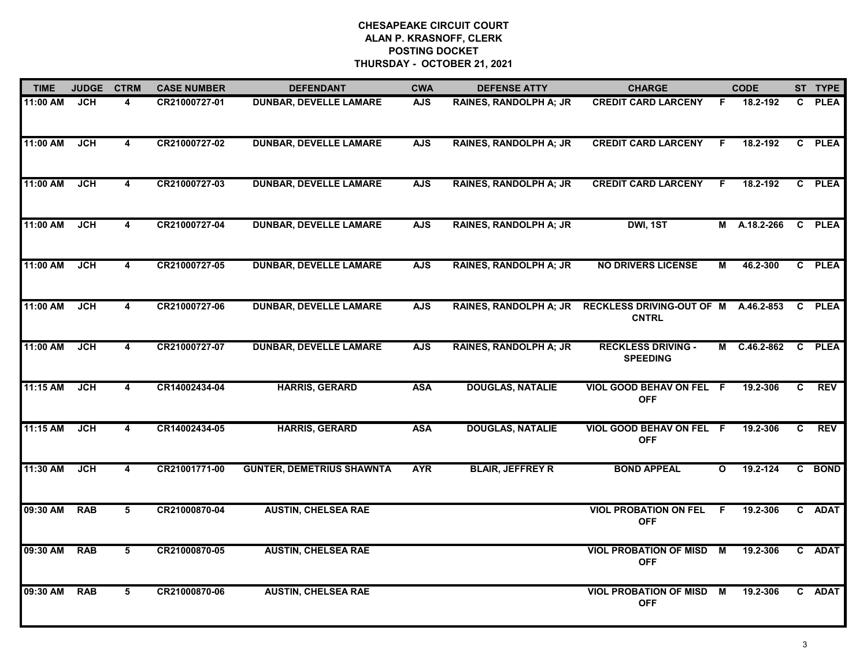| <b>TIME</b> | <b>JUDGE</b> | <b>CTRM</b>             | <b>CASE NUMBER</b> | <b>DEFENDANT</b>                 | <b>CWA</b> | <b>DEFENSE ATTY</b>           | <b>CHARGE</b>                                        |                | <b>CODE</b>  |    | ST TYPE     |
|-------------|--------------|-------------------------|--------------------|----------------------------------|------------|-------------------------------|------------------------------------------------------|----------------|--------------|----|-------------|
| 11:00 AM    | JCH          | 4                       | CR21000727-01      | <b>DUNBAR, DEVELLE LAMARE</b>    | <b>AJS</b> | RAINES, RANDOLPH A; JR        | <b>CREDIT CARD LARCENY</b>                           | F              | 18.2-192     |    | C PLEA      |
| 11:00 AM    | JCH          | $\overline{\mathbf{4}}$ | CR21000727-02      | <b>DUNBAR, DEVELLE LAMARE</b>    | <b>AJS</b> | <b>RAINES, RANDOLPH A; JR</b> | <b>CREDIT CARD LARCENY</b>                           | F.             | 18.2-192     |    | C PLEA      |
| 11:00 AM    | <b>JCH</b>   | 4                       | CR21000727-03      | <b>DUNBAR, DEVELLE LAMARE</b>    | <b>AJS</b> | <b>RAINES, RANDOLPH A; JR</b> | <b>CREDIT CARD LARCENY</b>                           | F.             | 18.2-192     |    | C PLEA      |
| 11:00 AM    | <b>JCH</b>   | 4                       | CR21000727-04      | <b>DUNBAR, DEVELLE LAMARE</b>    | <b>AJS</b> | <b>RAINES, RANDOLPH A; JR</b> | DWI, 1ST                                             |                | M A.18.2-266 |    | C PLEA      |
| 11:00 AM    | JCH          | 4                       | CR21000727-05      | <b>DUNBAR, DEVELLE LAMARE</b>    | <b>AJS</b> | <b>RAINES, RANDOLPH A; JR</b> | <b>NO DRIVERS LICENSE</b>                            | М              | 46.2-300     |    | C PLEA      |
| 11:00 AM    | <b>JCH</b>   | 4                       | CR21000727-06      | <b>DUNBAR, DEVELLE LAMARE</b>    | <b>AJS</b> | <b>RAINES, RANDOLPH A; JR</b> | RECKLESS DRIVING-OUT OF M A.46.2-853<br><b>CNTRL</b> |                |              |    | C PLEA      |
| 11:00 AM    | <b>JCH</b>   | 4                       | CR21000727-07      | <b>DUNBAR, DEVELLE LAMARE</b>    | <b>AJS</b> | <b>RAINES, RANDOLPH A; JR</b> | <b>RECKLESS DRIVING -</b><br><b>SPEEDING</b>         |                | M C.46.2-862 | C  | <b>PLEA</b> |
| 11:15 AM    | <b>JCH</b>   | $\overline{\mathbf{4}}$ | CR14002434-04      | <b>HARRIS, GERARD</b>            | <b>ASA</b> | <b>DOUGLAS, NATALIE</b>       | VIOL GOOD BEHAV ON FEL F<br><b>OFF</b>               |                | 19.2-306     | C. | <b>REV</b>  |
| 11:15 AM    | <b>JCH</b>   | 4                       | CR14002434-05      | <b>HARRIS, GERARD</b>            | <b>ASA</b> | <b>DOUGLAS, NATALIE</b>       | VIOL GOOD BEHAV ON FEL F<br><b>OFF</b>               |                | 19.2-306     | C  | <b>REV</b>  |
| 11:30 AM    | <b>JCH</b>   | 4                       | CR21001771-00      | <b>GUNTER, DEMETRIUS SHAWNTA</b> | <b>AYR</b> | <b>BLAIR, JEFFREY R</b>       | <b>BOND APPEAL</b>                                   | $\mathbf{o}$   | 19.2-124     |    | C BOND      |
| 09:30 AM    | <b>RAB</b>   | 5                       | CR21000870-04      | <b>AUSTIN, CHELSEA RAE</b>       |            |                               | <b>VIOL PROBATION ON FEL</b><br><b>OFF</b>           | -F             | 19.2-306     |    | C ADAT      |
| 09:30 AM    | <b>RAB</b>   | $\overline{5}$          | CR21000870-05      | <b>AUSTIN, CHELSEA RAE</b>       |            |                               | <b>VIOL PROBATION OF MISD</b><br><b>OFF</b>          | $\overline{M}$ | 19.2-306     |    | C ADAT      |
| 09:30 AM    | <b>RAB</b>   | 5                       | CR21000870-06      | <b>AUSTIN, CHELSEA RAE</b>       |            |                               | <b>VIOL PROBATION OF MISD</b><br><b>OFF</b>          | M              | 19.2-306     |    | C ADAT      |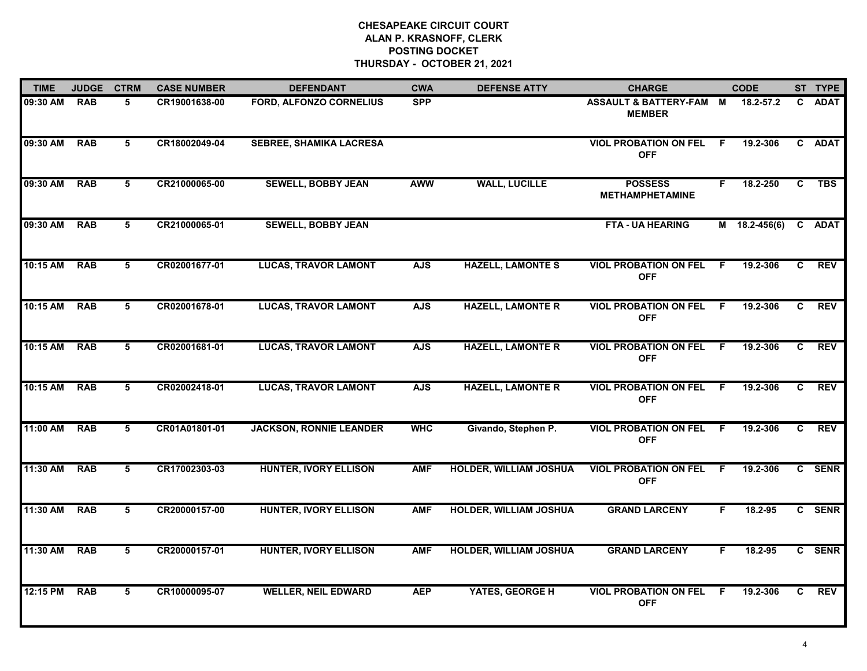| <b>TIME</b> | <b>JUDGE</b> | <b>CTRM</b> | <b>CASE NUMBER</b> | <b>DEFENDANT</b>               | <b>CWA</b> | <b>DEFENSE ATTY</b>           | <b>CHARGE</b>                                |    | <b>CODE</b>     |              | ST TYPE    |
|-------------|--------------|-------------|--------------------|--------------------------------|------------|-------------------------------|----------------------------------------------|----|-----------------|--------------|------------|
| 09:30 AM    | <b>RAB</b>   | 5           | CR19001638-00      | <b>FORD, ALFONZO CORNELIUS</b> | <b>SPP</b> |                               | ASSAULT & BATTERY-FAM M<br><b>MEMBER</b>     |    | 18.2-57.2       |              | C ADAT     |
| 09:30 AM    | <b>RAB</b>   | 5           | CR18002049-04      | <b>SEBREE, SHAMIKA LACRESA</b> |            |                               | <b>VIOL PROBATION ON FEL</b><br><b>OFF</b>   | F. | 19.2-306        |              | C ADAT     |
| 09:30 AM    | <b>RAB</b>   | 5           | CR21000065-00      | <b>SEWELL, BOBBY JEAN</b>      | <b>AWW</b> | <b>WALL, LUCILLE</b>          | <b>POSSESS</b><br><b>METHAMPHETAMINE</b>     | F. | 18.2-250        | $\mathbf{c}$ | <b>TBS</b> |
| 09:30 AM    | <b>RAB</b>   | 5           | CR21000065-01      | <b>SEWELL, BOBBY JEAN</b>      |            |                               | <b>FTA - UA HEARING</b>                      |    | $M$ 18.2-456(6) |              | C ADAT     |
| 10:15 AM    | <b>RAB</b>   | 5           | CR02001677-01      | <b>LUCAS, TRAVOR LAMONT</b>    | <b>AJS</b> | <b>HAZELL, LAMONTE S</b>      | <b>VIOL PROBATION ON FEL</b><br><b>OFF</b>   | F. | 19.2-306        | C.           | REV        |
| 10:15 AM    | <b>RAB</b>   | 5           | CR02001678-01      | <b>LUCAS, TRAVOR LAMONT</b>    | <b>AJS</b> | <b>HAZELL, LAMONTE R</b>      | <b>VIOL PROBATION ON FEL F</b><br><b>OFF</b> |    | 19.2-306        | C            | <b>REV</b> |
| 10:15 AM    | <b>RAB</b>   | 5           | CR02001681-01      | <b>LUCAS, TRAVOR LAMONT</b>    | <b>AJS</b> | <b>HAZELL, LAMONTE R</b>      | <b>VIOL PROBATION ON FEL</b><br><b>OFF</b>   | F. | 19.2-306        | C            | <b>REV</b> |
| 10:15 AM    | <b>RAB</b>   | 5           | CR02002418-01      | <b>LUCAS, TRAVOR LAMONT</b>    | <b>AJS</b> | <b>HAZELL, LAMONTE R</b>      | <b>VIOL PROBATION ON FEL</b><br><b>OFF</b>   | E  | 19.2-306        | $\mathbf{c}$ | <b>REV</b> |
| 11:00 AM    | <b>RAB</b>   | 5           | CR01A01801-01      | <b>JACKSON, RONNIE LEANDER</b> | <b>WHC</b> | Givando, Stephen P.           | <b>VIOL PROBATION ON FEL</b><br><b>OFF</b>   | F. | 19.2-306        | C.           | <b>REV</b> |
| 11:30 AM    | <b>RAB</b>   | 5           | CR17002303-03      | <b>HUNTER, IVORY ELLISON</b>   | <b>AMF</b> | <b>HOLDER, WILLIAM JOSHUA</b> | <b>VIOL PROBATION ON FEL</b><br><b>OFF</b>   | F. | 19.2-306        |              | C SENR     |
| 11:30 AM    | <b>RAB</b>   | 5           | CR20000157-00      | <b>HUNTER, IVORY ELLISON</b>   | <b>AMF</b> | <b>HOLDER, WILLIAM JOSHUA</b> | <b>GRAND LARCENY</b>                         | F. | 18.2-95         |              | C SENR     |
| 11:30 AM    | <b>RAB</b>   | 5           | CR20000157-01      | <b>HUNTER, IVORY ELLISON</b>   | <b>AMF</b> | <b>HOLDER, WILLIAM JOSHUA</b> | <b>GRAND LARCENY</b>                         | F. | 18.2-95         |              | C SENR     |
| 12:15 PM    | <b>RAB</b>   | 5           | CR10000095-07      | <b>WELLER, NEIL EDWARD</b>     | <b>AEP</b> | YATES, GEORGE H               | <b>VIOL PROBATION ON FEL</b><br><b>OFF</b>   | F  | 19.2-306        | C.           | <b>REV</b> |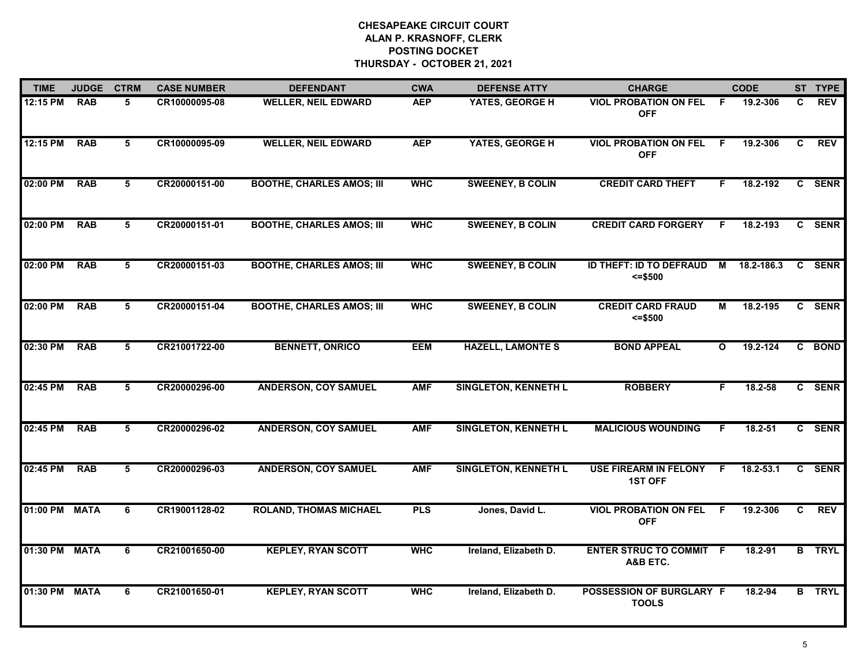| <b>TIME</b>   | <b>JUDGE</b> | <b>CTRM</b> | <b>CASE NUMBER</b> | <b>DEFENDANT</b>                 | <b>CWA</b> | <b>DEFENSE ATTY</b>         | <b>CHARGE</b>                                  |                | <b>CODE</b> |    | ST TYPE       |
|---------------|--------------|-------------|--------------------|----------------------------------|------------|-----------------------------|------------------------------------------------|----------------|-------------|----|---------------|
| 12:15 PM      | <b>RAB</b>   | 5.          | CR10000095-08      | <b>WELLER, NEIL EDWARD</b>       | <b>AEP</b> | YATES, GEORGE H             | <b>VIOL PROBATION ON FEL</b><br><b>OFF</b>     | F.             | 19.2-306    | C. | <b>REV</b>    |
| 12:15 PM      | <b>RAB</b>   | 5           | CR10000095-09      | <b>WELLER, NEIL EDWARD</b>       | <b>AEP</b> | YATES, GEORGE H             | <b>VIOL PROBATION ON FEL</b><br><b>OFF</b>     | F.             | 19.2-306    | C  | <b>REV</b>    |
| 02:00 PM      | <b>RAB</b>   | 5           | CR20000151-00      | <b>BOOTHE, CHARLES AMOS; III</b> | <b>WHC</b> | <b>SWEENEY, B COLIN</b>     | <b>CREDIT CARD THEFT</b>                       | F.             | 18.2-192    |    | C SENR        |
| 02:00 PM      | <b>RAB</b>   | 5           | CR20000151-01      | <b>BOOTHE, CHARLES AMOS; III</b> | <b>WHC</b> | <b>SWEENEY, B COLIN</b>     | <b>CREDIT CARD FORGERY</b>                     | .F             | 18.2-193    |    | C SENR        |
| 02:00 PM      | <b>RAB</b>   | 5           | CR20000151-03      | <b>BOOTHE, CHARLES AMOS; III</b> | <b>WHC</b> | <b>SWEENEY, B COLIN</b>     | <b>ID THEFT: ID TO DEFRAUD</b><br>$= $500$     | $\blacksquare$ | 18.2-186.3  |    | C SENR        |
| 02:00 PM      | <b>RAB</b>   | 5           | CR20000151-04      | <b>BOOTHE, CHARLES AMOS; III</b> | <b>WHC</b> | <b>SWEENEY, B COLIN</b>     | <b>CREDIT CARD FRAUD</b><br>$= $500$           | М              | 18.2-195    |    | C SENR        |
| 02:30 PM      | <b>RAB</b>   | 5           | CR21001722-00      | <b>BENNETT, ONRICO</b>           | <b>EEM</b> | <b>HAZELL, LAMONTE S</b>    | <b>BOND APPEAL</b>                             | $\mathbf{o}$   | 19.2-124    |    | C BOND        |
| 02:45 PM      | <b>RAB</b>   | 5           | CR20000296-00      | <b>ANDERSON, COY SAMUEL</b>      | <b>AMF</b> | <b>SINGLETON, KENNETH L</b> | <b>ROBBERY</b>                                 | F.             | 18.2-58     |    | C SENR        |
| 02:45 PM      | <b>RAB</b>   | 5           | CR20000296-02      | <b>ANDERSON, COY SAMUEL</b>      | <b>AMF</b> | <b>SINGLETON, KENNETH L</b> | <b>MALICIOUS WOUNDING</b>                      | F              | $18.2 - 51$ |    | C SENR        |
| 02:45 PM      | <b>RAB</b>   | 5           | CR20000296-03      | <b>ANDERSON, COY SAMUEL</b>      | <b>AMF</b> | <b>SINGLETON, KENNETH L</b> | <b>USE FIREARM IN FELONY</b><br><b>1ST OFF</b> | F.             | 18.2-53.1   |    | C SENR        |
| 01:00 PM      | <b>MATA</b>  | 6           | CR19001128-02      | <b>ROLAND, THOMAS MICHAEL</b>    | <b>PLS</b> | Jones, David L.             | <b>VIOL PROBATION ON FEL</b><br><b>OFF</b>     | -F             | 19.2-306    | C  | <b>REV</b>    |
| 01:30 PM      | <b>MATA</b>  | 6           | CR21001650-00      | <b>KEPLEY, RYAN SCOTT</b>        | <b>WHC</b> | Ireland, Elizabeth D.       | <b>ENTER STRUC TO COMMIT F</b><br>A&B ETC.     |                | 18.2-91     |    | <b>B</b> TRYL |
| 01:30 PM MATA |              | 6           | CR21001650-01      | <b>KEPLEY, RYAN SCOTT</b>        | <b>WHC</b> | Ireland, Elizabeth D.       | POSSESSION OF BURGLARY F<br><b>TOOLS</b>       |                | 18.2-94     |    | <b>B</b> TRYL |